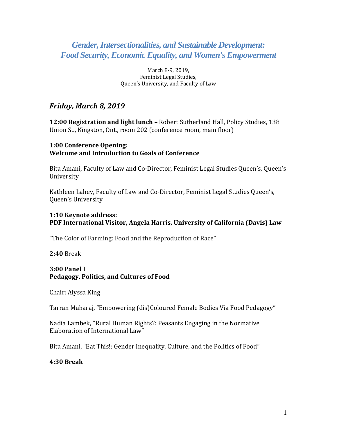# *Gender,Intersectionalities, and Sustainable Development: Food Security, Economic Equality, and Women's Empowerment*

March 8-9, 2019, Feminist Legal Studies, Queen's University, and Faculty of Law

# *Friday, March 8, 2019*

**12:00 Registration and light lunch –** Robert Sutherland Hall, Policy Studies, 138 Union St., Kingston, Ont., room 202 (conference room, main floor)

### **1:00 Conference Opening: Welcome and Introduction to Goals of Conference**

Bita Amani, Faculty of Law and Co-Director, Feminist Legal Studies Queen's, Queen's University

Kathleen Lahey, Faculty of Law and Co-Director, Feminist Legal Studies Queen's, Queen's University

### **1:10 Keynote address: PDF International Visitor, Angela Harris, University of California (Davis) Law**

"The Color of Farming: Food and the Reproduction of Race"

**2:40** Break

### **3:00 Panel I Pedagogy, Politics, and Cultures of Food**

Chair: Alyssa King

Tarran Maharaj, "Empowering (dis)Coloured Female Bodies Via Food Pedagogy"

Nadia Lambek, "Rural Human Rights?: Peasants Engaging in the Normative Elaboration of International Law"

Bita Amani, "Eat This!: Gender Inequality, Culture, and the Politics of Food"

### **4:30 Break**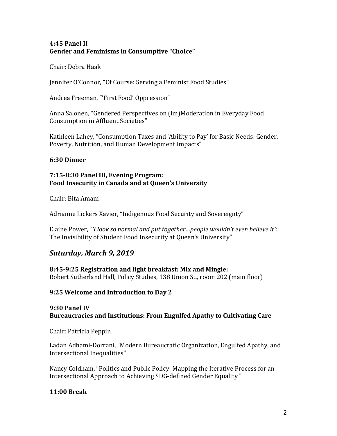# **4:45 Panel II Gender and Feminisms in Consumptive "Choice"**

Chair: Debra Haak

Jennifer O'Connor, "Of Course: Serving a Feminist Food Studies"

Andrea Freeman, "'First Food' Oppression"

Anna Salonen, "Gendered Perspectives on (im)Moderation in Everyday Food Consumption in Affluent Societies"

Kathleen Lahey, "Consumption Taxes and 'Ability to Pay' for Basic Needs: Gender, Poverty, Nutrition, and Human Development Impacts"

# **6:30 Dinner**

#### **7:15-8:30 Panel III, Evening Program: Food Insecurity in Canada and at Queen's University**

Chair: Bita Amani

Adrianne Lickers Xavier, "Indigenous Food Security and Sovereignty"

Elaine Power, "*'I look so normal and put together…people wouldn't even believe it'*: The Invisibility of Student Food Insecurity at Queen's University"

# *Saturday, March 9, 2019*

# **8:45-9:25 Registration and light breakfast: Mix and Mingle:**

Robert Sutherland Hall, Policy Studies, 138 Union St., room 202 (main floor)

# **9:25 Welcome and Introduction to Day 2**

# **9:30 Panel IV Bureaucracies and Institutions: From Engulfed Apathy to Cultivating Care**

Chair: Patricia Peppin

Ladan Adhami-Dorrani, "Modern Bureaucratic Organization, Engulfed Apathy, and Intersectional Inequalities"

Nancy Coldham, "Politics and Public Policy: Mapping the Iterative Process for an Intersectional Approach to Achieving SDG-defined Gender Equality "

# **11:00 Break**